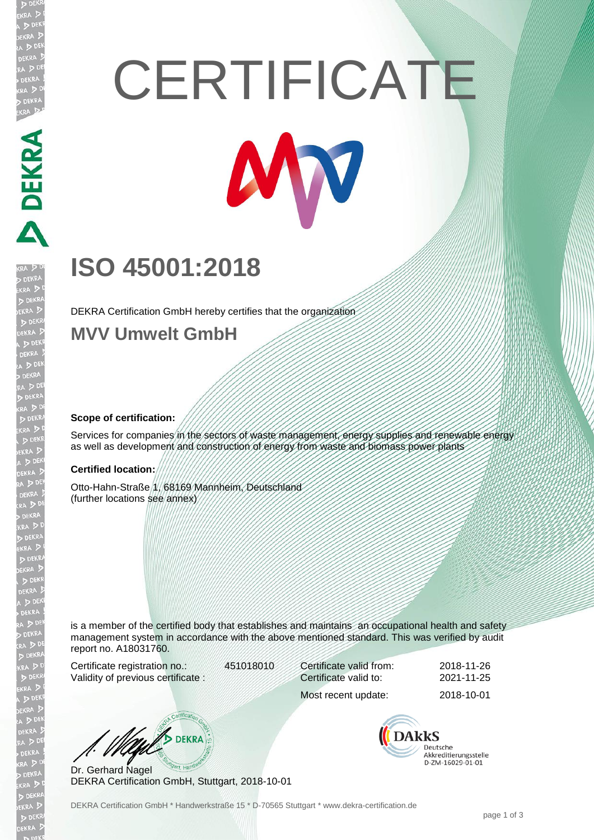# **CERTIFICATE**



## **ISO 45001:2018**

DEKRA Certification GmbH hereby certifies that the organization

### **MVV Umwelt GmbH**

#### **Scope of certification:**

**DEKRA RE** 

Services for companies in the sectors of waste management, energy supplies and renewable energy as well as development and construction of energy from waste and biomass power plants

#### **Certified location:**

Otto-Hahn-Straße 1, 68169 Mannheim, Deutschland (further locations see annex)

is a member of the certified body that establishes and maintains an occupational health and safety management system in accordance with the above mentioned standard. This was verified by audit report no. A18031760.

Certificate registration no.: 451018010 Validity of previous certificate :

Certificate valid from: 2018-11-26 Certificate valid to: 2021-11-25

**BUEKRA** 

Dr. Gerhard Nagel DEKRA Certification GmbH, Stuttgart, 2018-10-01

**DAkkS** Deutsche Akkreditierungsstelle D-ZM-16029-01-01

Most recent update: 2018-10-01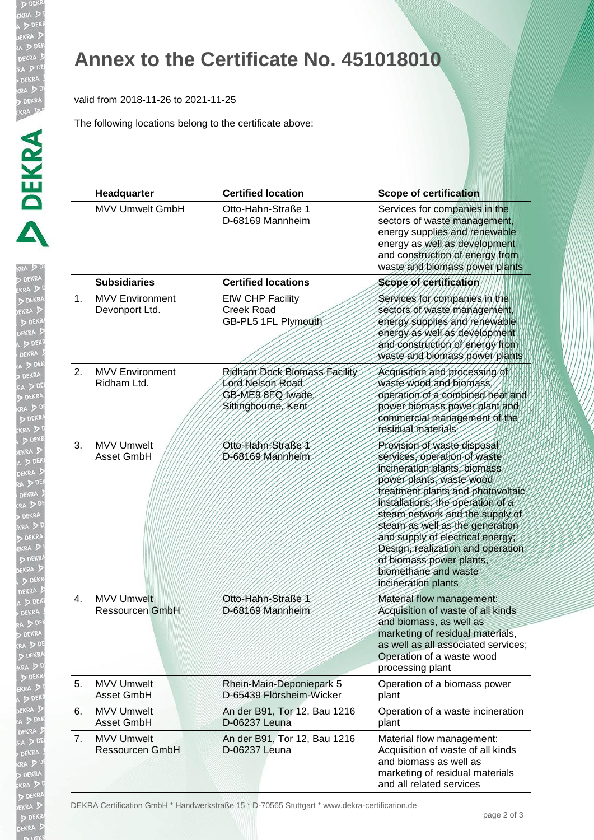EKR

EKRA  $D<sub>0</sub>$ EKR

## **Annex to the Certificate No. 451018010**

valid from 2018-11-26 to 2021-11-25

The following locations belong to the certificate above:

|                  | Headquarter                                 | <b>Certified location</b>                                                                   | <b>Scope of certification</b>                                                                                                                                                                                                                                                                                                                                                                                               |
|------------------|---------------------------------------------|---------------------------------------------------------------------------------------------|-----------------------------------------------------------------------------------------------------------------------------------------------------------------------------------------------------------------------------------------------------------------------------------------------------------------------------------------------------------------------------------------------------------------------------|
|                  | <b>MVV Umwelt GmbH</b>                      | Otto-Hahn-Straße 1<br>D-68169 Mannheim                                                      | Services for companies in the<br>sectors of waste management,<br>energy supplies and renewable<br>energy as well as development<br>and construction of energy from<br>waste and biomass power plants                                                                                                                                                                                                                        |
|                  | <b>Subsidiaries</b>                         | <b>Certified locations</b>                                                                  | Scope of certification                                                                                                                                                                                                                                                                                                                                                                                                      |
| 1.               | <b>MVV Environment</b><br>Devonport Ltd.    | <b>EfW CHP Facility</b><br><b>Creek Road</b><br>GB-PL5 1FL Plymouth                         | Services for companies in the<br>sectors of waste management,<br>energy supplies and renewable<br>energy as well as development<br>and construction of energy from<br>waste and biomass power plants                                                                                                                                                                                                                        |
| 2.               | <b>MVV Environment</b><br>Ridham Ltd.       | Ridham Dock Biomass Facility<br>Lord Nelson Road<br>GB-ME9 8FQ Iwade<br>Sittingbourne, Kent | Acquisition and processing of<br>waste wood and biomass<br>operation of a combined heat and<br>power biomass power plant and<br>commercial management of the<br>residual materials                                                                                                                                                                                                                                          |
| 3.               | <b>MVV Umwelt</b><br>Asset GmbH             | Otto-Hahn-Straße 1<br>D-68169 Mannheim                                                      | Provision of waste disposal<br>services, operation of waste<br>incineration plants, biomass<br>power plants, waste wood<br>treatment plants and photovoltaic<br>installations, the operation of a<br>steam network and the supply of<br>steam as well as the generation<br>and supply of electrical energy;<br>Design, realization and operation<br>of biomass power plants,<br>biomethane and waste<br>incineration plants |
| $\overline{4}$ . | <b>MVV Umwelt</b><br><b>Ressourcen GmbH</b> | Otto-Hahn-Straße 1<br>D-68169 Mannheim                                                      | Material flow management:<br>Acquisition of waste of all kinds<br>and biomass, as well as<br>marketing of residual materials,<br>as well as all associated services;<br>Operation of a waste wood<br>processing plant                                                                                                                                                                                                       |
| 5.               | <b>MVV Umwelt</b><br>Asset GmbH             | Rhein-Main-Deponiepark 5<br>D-65439 Flörsheim-Wicker                                        | Operation of a biomass power<br>plant                                                                                                                                                                                                                                                                                                                                                                                       |
| 6.               | <b>MVV Umwelt</b><br>Asset GmbH             | An der B91, Tor 12, Bau 1216<br>D-06237 Leuna                                               | Operation of a waste incineration<br>plant                                                                                                                                                                                                                                                                                                                                                                                  |
| 7.               | <b>MVV Umwelt</b><br><b>Ressourcen GmbH</b> | An der B91, Tor 12, Bau 1216<br>D-06237 Leuna                                               | Material flow management:<br>Acquisition of waste of all kinds<br>and biomass as well as<br>marketing of residual materials<br>and all related services                                                                                                                                                                                                                                                                     |